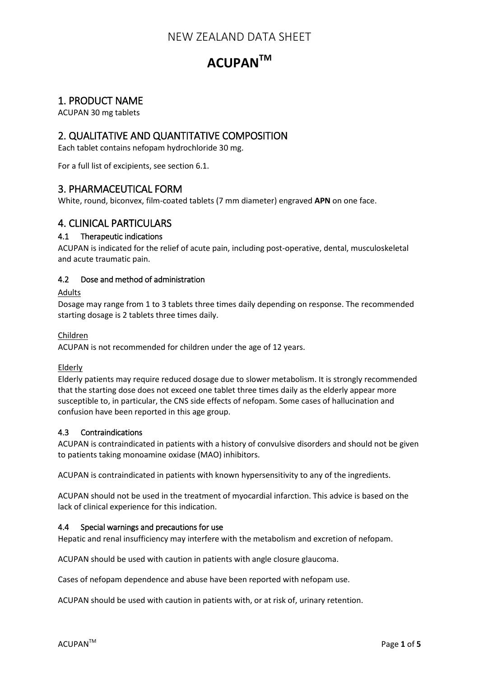# **ACUPANTM**

# 1. PRODUCT NAME

ACUPAN 30 mg tablets

# 2. QUALITATIVE AND QUANTITATIVE COMPOSITION

Each tablet contains nefopam hydrochloride 30 mg.

For a full list of excipients, see section 6.1.

# 3. PHARMACEUTICAL FORM

White, round, biconvex, film-coated tablets (7 mm diameter) engraved **APN** on one face.

# 4. CLINICAL PARTICULARS

## 4.1 Therapeutic indications

ACUPAN is indicated for the relief of acute pain, including post-operative, dental, musculoskeletal and acute traumatic pain.

## 4.2 Dose and method of administration

#### Adults

Dosage may range from 1 to 3 tablets three times daily depending on response. The recommended starting dosage is 2 tablets three times daily.

#### Children

ACUPAN is not recommended for children under the age of 12 years.

## Elderly

Elderly patients may require reduced dosage due to slower metabolism. It is strongly recommended that the starting dose does not exceed one tablet three times daily as the elderly appear more susceptible to, in particular, the CNS side effects of nefopam. Some cases of hallucination and confusion have been reported in this age group.

## 4.3 Contraindications

ACUPAN is contraindicated in patients with a history of convulsive disorders and should not be given to patients taking monoamine oxidase (MAO) inhibitors.

ACUPAN is contraindicated in patients with known hypersensitivity to any of the ingredients.

ACUPAN should not be used in the treatment of myocardial infarction. This advice is based on the lack of clinical experience for this indication.

#### 4.4 Special warnings and precautions for use

Hepatic and renal insufficiency may interfere with the metabolism and excretion of nefopam.

ACUPAN should be used with caution in patients with angle closure glaucoma.

Cases of nefopam dependence and abuse have been reported with nefopam use.

ACUPAN should be used with caution in patients with, or at risk of, urinary retention.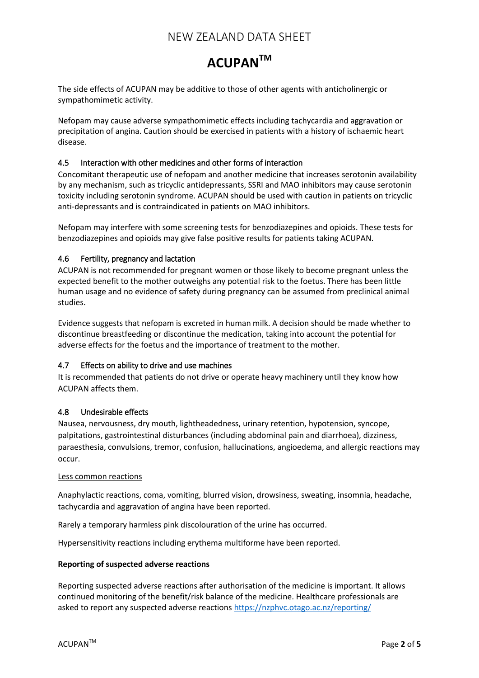# **ACUPANTM**

The side effects of ACUPAN may be additive to those of other agents with anticholinergic or sympathomimetic activity.

Nefopam may cause adverse sympathomimetic effects including tachycardia and aggravation or precipitation of angina. Caution should be exercised in patients with a history of ischaemic heart disease.

#### 4.5 Interaction with other medicines and other forms of interaction

Concomitant therapeutic use of nefopam and another medicine that increases serotonin availability by any mechanism, such as tricyclic antidepressants, SSRI and MAO inhibitors may cause serotonin toxicity including serotonin syndrome. ACUPAN should be used with caution in patients on tricyclic anti-depressants and is contraindicated in patients on MAO inhibitors.

Nefopam may interfere with some screening tests for benzodiazepines and opioids. These tests for benzodiazepines and opioids may give false positive results for patients taking ACUPAN.

#### 4.6 Fertility, pregnancy and lactation

ACUPAN is not recommended for pregnant women or those likely to become pregnant unless the expected benefit to the mother outweighs any potential risk to the foetus. There has been little human usage and no evidence of safety during pregnancy can be assumed from preclinical animal studies.

Evidence suggests that nefopam is excreted in human milk. A decision should be made whether to discontinue breastfeeding or discontinue the medication, taking into account the potential for adverse effects for the foetus and the importance of treatment to the mother.

#### 4.7 Effects on ability to drive and use machines

It is recommended that patients do not drive or operate heavy machinery until they know how ACUPAN affects them.

#### 4.8 Undesirable effects

Nausea, nervousness, dry mouth, lightheadedness, urinary retention, hypotension, syncope, palpitations, gastrointestinal disturbances (including abdominal pain and diarrhoea), dizziness, paraesthesia, convulsions, tremor, confusion, hallucinations, angioedema, and allergic reactions may occur.

#### Less common reactions

Anaphylactic reactions, coma, vomiting, blurred vision, drowsiness, sweating, insomnia, headache, tachycardia and aggravation of angina have been reported.

Rarely a temporary harmless pink discolouration of the urine has occurred.

Hypersensitivity reactions including erythema multiforme have been reported.

#### **Reporting of suspected adverse reactions**

Reporting suspected adverse reactions after authorisation of the medicine is important. It allows continued monitoring of the benefit/risk balance of the medicine. Healthcare professionals are asked to report any suspected adverse reactions <https://nzphvc.otago.ac.nz/reporting/>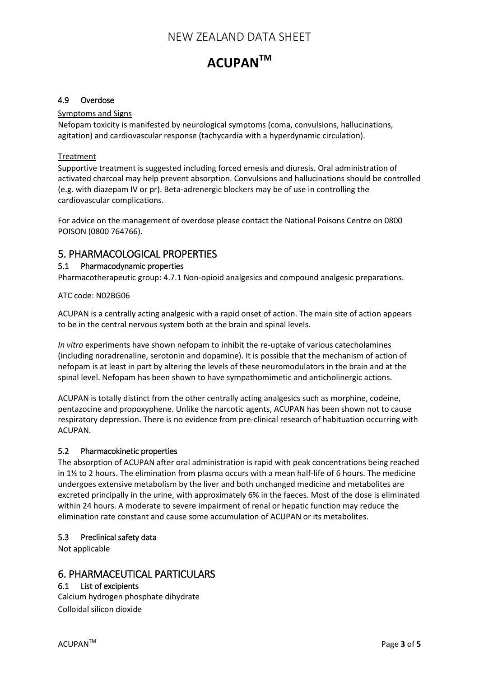# **ACUPANTM**

#### 4.9 Overdose

#### Symptoms and Signs

Nefopam toxicity is manifested by neurological symptoms (coma, convulsions, hallucinations, agitation) and cardiovascular response (tachycardia with a hyperdynamic circulation).

#### Treatment

Supportive treatment is suggested including forced emesis and diuresis. Oral administration of activated charcoal may help prevent absorption. Convulsions and hallucinations should be controlled (e.g. with diazepam IV or pr). Beta-adrenergic blockers may be of use in controlling the cardiovascular complications.

For advice on the management of overdose please contact the National Poisons Centre on 0800 POISON (0800 764766).

# 5. PHARMACOLOGICAL PROPERTIES

#### 5.1 Pharmacodynamic properties

Pharmacotherapeutic group: 4.7.1 Non-opioid analgesics and compound analgesic preparations.

#### ATC code: N02BG06

ACUPAN is a centrally acting analgesic with a rapid onset of action. The main site of action appears to be in the central nervous system both at the brain and spinal levels.

*In vitro* experiments have shown nefopam to inhibit the re-uptake of various catecholamines (including noradrenaline, serotonin and dopamine). It is possible that the mechanism of action of nefopam is at least in part by altering the levels of these neuromodulators in the brain and at the spinal level. Nefopam has been shown to have sympathomimetic and anticholinergic actions.

ACUPAN is totally distinct from the other centrally acting analgesics such as morphine, codeine, pentazocine and propoxyphene. Unlike the narcotic agents, ACUPAN has been shown not to cause respiratory depression. There is no evidence from pre-clinical research of habituation occurring with ACUPAN.

#### 5.2 Pharmacokinetic properties

The absorption of ACUPAN after oral administration is rapid with peak concentrations being reached in 1½ to 2 hours. The elimination from plasma occurs with a mean half-life of 6 hours. The medicine undergoes extensive metabolism by the liver and both unchanged medicine and metabolites are excreted principally in the urine, with approximately 6% in the faeces. Most of the dose is eliminated within 24 hours. A moderate to severe impairment of renal or hepatic function may reduce the elimination rate constant and cause some accumulation of ACUPAN or its metabolites.

#### 5.3 Preclinical safety data

Not applicable

# 6. PHARMACEUTICAL PARTICULARS

## 6.1 List of excipients

Calcium hydrogen phosphate dihydrate Colloidal silicon dioxide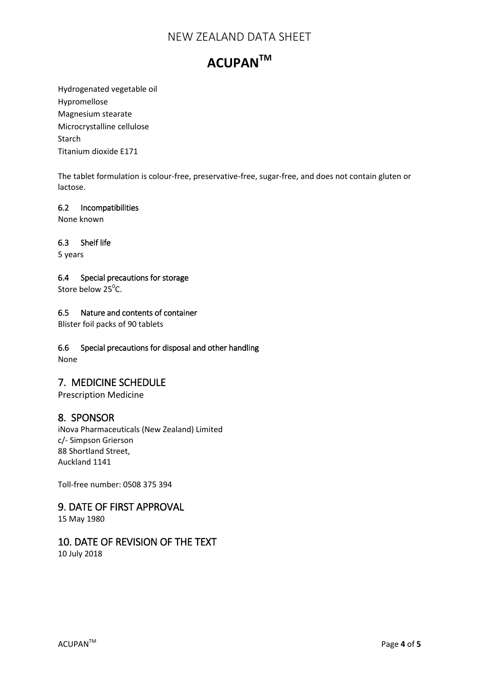# **ACUPANTM**

Hydrogenated vegetable oil Hypromellose Magnesium stearate Microcrystalline cellulose Starch Titanium dioxide E171

The tablet formulation is colour-free, preservative-free, sugar-free, and does not contain gluten or lactose.

#### 6.2 Incompatibilities

None known

## 6.3 Shelf life

5 years

## 6.4 Special precautions for storage

Store below  $25^{\circ}$ C.

## 6.5 Nature and contents of container

Blister foil packs of 90 tablets

## 6.6 Special precautions for disposal and other handling

None

# 7. MEDICINE SCHEDULE

Prescription Medicine

# 8. SPONSOR

iNova Pharmaceuticals (New Zealand) Limited c/- Simpson Grierson 88 Shortland Street, Auckland 1141

Toll-free number: 0508 375 394

# 9. DATE OF FIRST APPROVAL

15 May 1980

# 10. DATE OF REVISION OF THE TEXT 10 July 2018